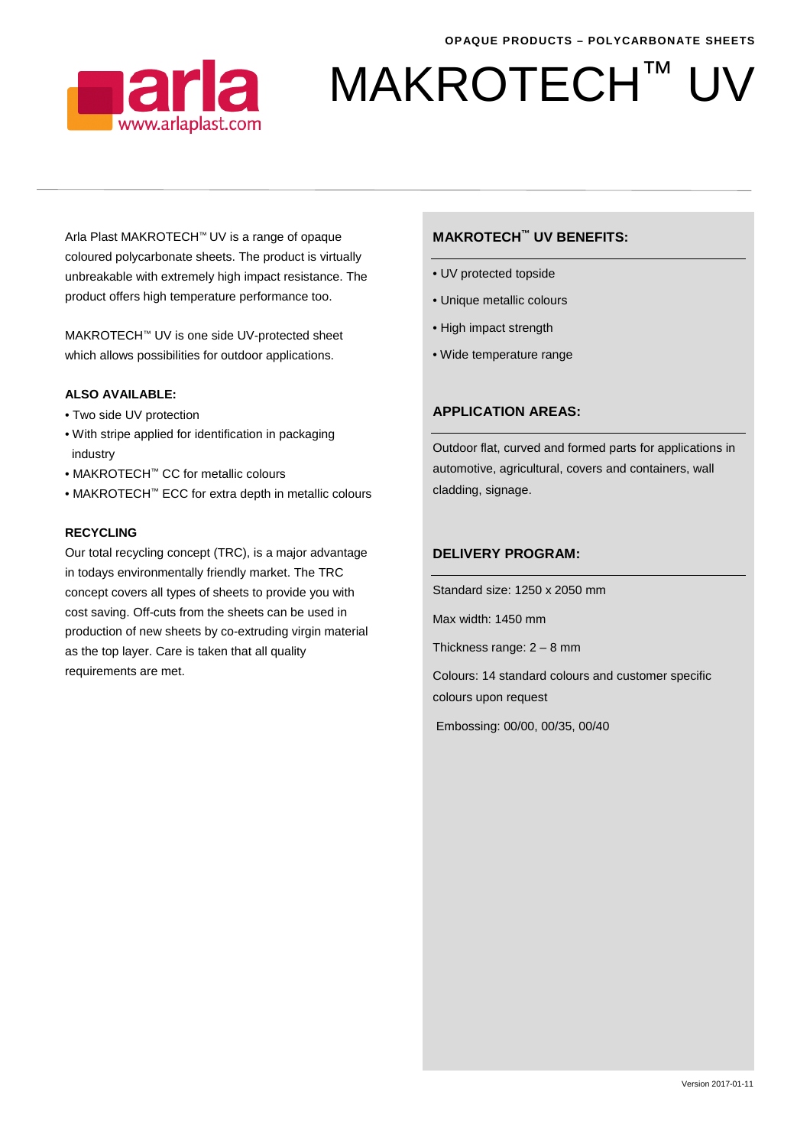

# MAKROTECH™

Arla Plast MAKROTECH™ UV is a range of opaque coloured polycarbonate sheets. The product is virtually unbreakable with extremely high impact resistance. The product offers high temperature performance too.

MAKROTECH™ UV is one side UV-protected sheet which allows possibilities for outdoor applications.

#### **ALSO AVAILABLE:**

- Two side UV protection
- With stripe applied for identification in packaging industry
- MAKROTECH™ CC for metallic colours
- MAKROTECH™ ECC for extra depth in metallic colours

#### **RECYCLING**

Our total recycling concept (TRC), is a major advantage in todays environmentally friendly market. The TRC concept covers all types of sheets to provide you with cost saving. Off-cuts from the sheets can be used in production of new sheets by co-extruding virgin material as the top layer. Care is taken that all quality requirements are met.

#### **MAKROTECH™ UV BENEFITS:**

- UV protected topside
- Unique metallic colours
- High impact strength
- Wide temperature range

### **APPLICATION AREAS:**

Outdoor flat, curved and formed parts for applications in automotive, agricultural, covers and containers, wall cladding, signage.

#### **DELIVERY PROGRAM:**

Standard size: 1250 x 2050 mm

Max width: 1450 mm

Thickness range: 2 – 8 mm

Colours: 14 standard colours and customer specific colours upon request

Embossing: 00/00, 00/35, 00/40